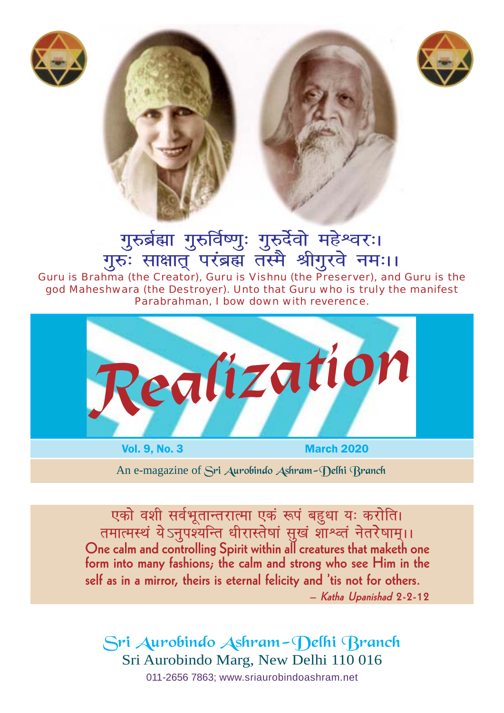







Guru is Brahma (the Creator), Guru is Vishnu (the Preserver), and Guru is the god Maheshwara (the Destroyer). Unto that Guru who is truly the manifest Parabrahman, I bow down with reverence.



An e-magazine of Sri Aurobindo Ashram-Delhi Branch

एको वशी सर्वभूतान्तरात्मा एकं रूपं बहुधा यः करोति। **rekReLFka ;s·uqi';fUr /khjkLrs"kka lq[ka 'kkÜOra usrjs"kke~AA One calm and controlling Spirit within all creatures that maketh one form into many fashions; the calm and strong who see Him in the self as in a mirror, theirs is eternal felicity and 'tis not for others. – Katha Upanishad 2-2-12**

Sri Aurobindo Ashram-Delhi Branch Sri Aurobindo Marg, New Delhi 110 016

011-2656 7863; www.sriaurobindoashram.net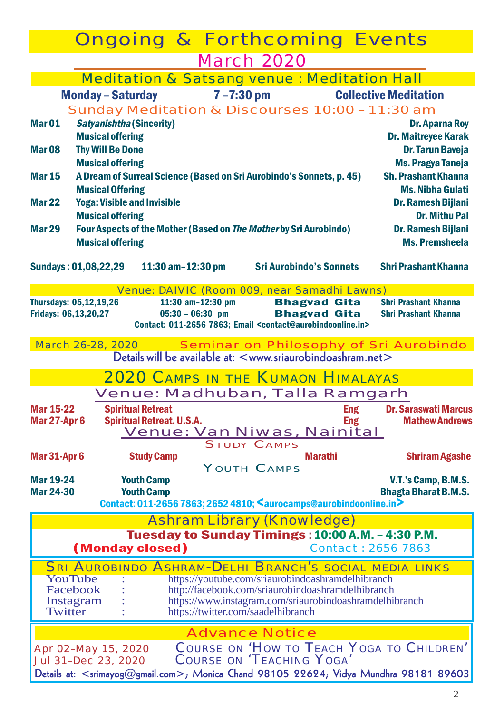|                                                                                                                                                                                                                                                                                                                         | <b>Ongoing &amp; Forthcoming Events</b>                                                                                                                                                                                                                                |                                         |                                                                                         |                                            |                                                                                                                                                                     |
|-------------------------------------------------------------------------------------------------------------------------------------------------------------------------------------------------------------------------------------------------------------------------------------------------------------------------|------------------------------------------------------------------------------------------------------------------------------------------------------------------------------------------------------------------------------------------------------------------------|-----------------------------------------|-----------------------------------------------------------------------------------------|--------------------------------------------|---------------------------------------------------------------------------------------------------------------------------------------------------------------------|
|                                                                                                                                                                                                                                                                                                                         |                                                                                                                                                                                                                                                                        |                                         | March 2020                                                                              |                                            |                                                                                                                                                                     |
|                                                                                                                                                                                                                                                                                                                         | <b>Meditation &amp; Satsang venue: Meditation Hall</b>                                                                                                                                                                                                                 |                                         |                                                                                         |                                            |                                                                                                                                                                     |
|                                                                                                                                                                                                                                                                                                                         | <b>Monday - Saturday</b>                                                                                                                                                                                                                                               |                                         | $7 - 7:30$ pm                                                                           |                                            | <b>Collective Meditation</b>                                                                                                                                        |
| Mar <sub>01</sub><br><b>Mar 08</b><br><b>Mar 15</b>                                                                                                                                                                                                                                                                     | Sunday Meditation & Discourses 10:00 - 11:30 am<br><b>Satyanishtha (Sincerity)</b><br><b>Musical offering</b><br><b>Thy Will Be Done</b><br><b>Musical offering</b><br>A Dream of Surreal Science (Based on Sri Aurobindo's Sonnets, p. 45)<br><b>Musical Offering</b> |                                         |                                                                                         |                                            | <b>Dr. Aparna Roy</b><br><b>Dr. Maitreyee Karak</b><br><b>Dr. Tarun Baveja</b><br><b>Ms. Pragya Taneja</b><br><b>Sh. Prashant Khanna</b><br><b>Ms. Nibha Gulati</b> |
| <b>Mar 22</b>                                                                                                                                                                                                                                                                                                           | <b>Yoga: Visible and Invisible</b>                                                                                                                                                                                                                                     |                                         |                                                                                         |                                            | <b>Dr. Ramesh Bijlani</b>                                                                                                                                           |
| <b>Mar 29</b>                                                                                                                                                                                                                                                                                                           | <b>Musical offering</b><br>Four Aspects of the Mother (Based on The Mother by Sri Aurobindo)<br><b>Musical offering</b>                                                                                                                                                |                                         |                                                                                         |                                            | <b>Dr. Mithu Pal</b><br><b>Dr. Ramesh Bijlani</b><br><b>Ms. Premsheela</b>                                                                                          |
| <b>Sundays: 01,08,22,29</b>                                                                                                                                                                                                                                                                                             | 11:30 am-12:30 pm                                                                                                                                                                                                                                                      |                                         | <b>Sri Aurobindo's Sonnets</b>                                                          |                                            | <b>Shri Prashant Khanna</b>                                                                                                                                         |
|                                                                                                                                                                                                                                                                                                                         | Venue: DAIVIC (Room 009, near Samadhi Lawns)                                                                                                                                                                                                                           |                                         |                                                                                         |                                            |                                                                                                                                                                     |
| <b>Thursdays: 05,12,19,26</b><br>Fridays: 06,13,20,27                                                                                                                                                                                                                                                                   |                                                                                                                                                                                                                                                                        | 11:30 am-12:30 pm<br>$05:30 - 06:30$ pm | Contact: 011-2656 7863; Email <contact@aurobindoonline.in></contact@aurobindoonline.in> | <b>Bhagvad Gita</b><br><b>Bhagvad Gita</b> | <b>Shri Prashant Khanna</b><br><b>Shri Prashant Khanna</b>                                                                                                          |
|                                                                                                                                                                                                                                                                                                                         |                                                                                                                                                                                                                                                                        |                                         |                                                                                         |                                            | March 26-28, 2020 Seminar on Philosophy of Sri Aurobindo                                                                                                            |
|                                                                                                                                                                                                                                                                                                                         | Details will be available at: $\leq$ www.sriaurobindoashram.net $>$                                                                                                                                                                                                    |                                         |                                                                                         |                                            |                                                                                                                                                                     |
|                                                                                                                                                                                                                                                                                                                         | 2020 CAMPS IN THE KUMAON HIMALAYAS                                                                                                                                                                                                                                     |                                         |                                                                                         |                                            |                                                                                                                                                                     |
| <b>Mar 15-22</b><br><b>Mar 27-Apr 6</b>                                                                                                                                                                                                                                                                                 | Venue: Madhuban, Talla Ramgarh<br><b>Spiritual Retreat</b><br><b>Spiritual Retreat. U.S.A.</b><br>Venue: Van Niwas, Nainital                                                                                                                                           |                                         |                                                                                         | <b>Eng</b>                                 | <b>Dr. Saraswati Marcus</b><br><b>Eng</b><br><b>Mathew Andrews</b>                                                                                                  |
| <b>Mar 31-Apr 6</b>                                                                                                                                                                                                                                                                                                     | <b>Study Camp</b>                                                                                                                                                                                                                                                      |                                         | <b>STUDY CAMPS</b><br>YOUTH CAMPS                                                       | <b>Marathi</b>                             | <b>Shriram Agashe</b>                                                                                                                                               |
| <b>Mar 19-24</b><br><b>Mar 24-30</b>                                                                                                                                                                                                                                                                                    | <b>Youth Camp</b><br><b>Youth Camp</b><br>Contact: 011-2656 7863; 2652 4810; <aurocamps@aurobindoonline.in></aurocamps@aurobindoonline.in>                                                                                                                             |                                         |                                                                                         |                                            | V.T.'s Camp, B.M.S.<br><b>Bhagta Bharat B.M.S.</b>                                                                                                                  |
| <b>Ashram Library (Knowledge)</b>                                                                                                                                                                                                                                                                                       |                                                                                                                                                                                                                                                                        |                                         |                                                                                         |                                            |                                                                                                                                                                     |
| Tuesday to Sunday Timings: 10:00 A.M. - 4:30 P.M.<br>(Monday closed)<br><b>Contact: 2656 7863</b>                                                                                                                                                                                                                       |                                                                                                                                                                                                                                                                        |                                         |                                                                                         |                                            |                                                                                                                                                                     |
| <b>SRI AUROBINDO ASHRAM-DELHI BRANCH'S SOCIAL MEDIA LINKS</b><br>YouTube<br>https://youtube.com/sriaurobindoashramdelhibranch<br>Facebook<br>http://facebook.com/sriaurobindoashramdelhibranch<br>https://www.instagram.com/sriaurobindoashramdelhibranch<br>Instagram<br>https://twitter.com/saadelhibranch<br>Twitter |                                                                                                                                                                                                                                                                        |                                         |                                                                                         |                                            |                                                                                                                                                                     |
| <b>Advance Notice</b>                                                                                                                                                                                                                                                                                                   |                                                                                                                                                                                                                                                                        |                                         |                                                                                         |                                            |                                                                                                                                                                     |
| Apr 02-May 15, 2020<br>Jul 31-Dec 23, 2020                                                                                                                                                                                                                                                                              |                                                                                                                                                                                                                                                                        |                                         | COURSE ON 'TEACHING YOGA'                                                               |                                            | COURSE ON 'HOW TO TEACH YOGA TO CHILDREN'<br>Details at: <srimayog@gmail.com>; Monica Chand 98105 22624; Vidya Mundhra 98181 89603</srimayog@gmail.com>             |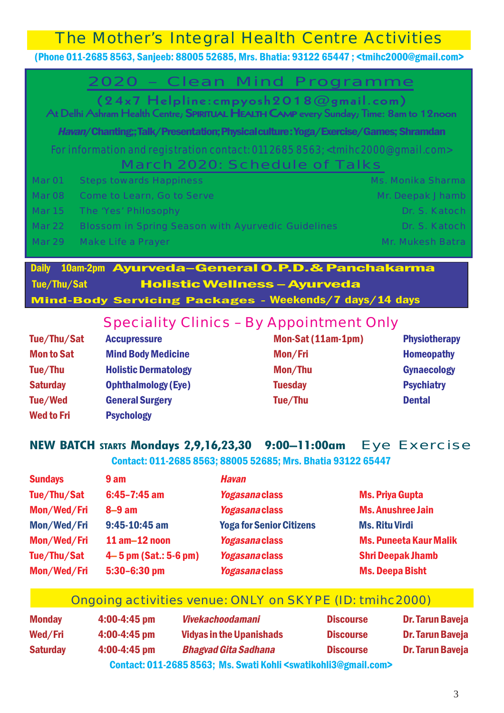## The Mother's Integral Health Centre Activities

#### (Phone 011-2685 8563, Sanjeeb: 88005 52685, Mrs. Bhatia: 93122 65447 ; <tmihc2000@gmail.com>

2020 – Clean Mind Programme

**(24x7 Helpline:cmpyosh2018@gmail.com) At Delhi Ashram Health Centre; SPIRITUAL HEALTH CAMP every Sunday; Time: 8am to 12noon**

Havan/Chanting;; Talk/Presentation; Physical culture : Yoga/Exercise/Games; Shramdan

For information and registration contact: 011 2685 8563; <tmihc2000@gmail.com> March 2020: Schedule of Talks

| Mar 01 Steps towards Happiness                            | Ms. Monika Sharma |
|-----------------------------------------------------------|-------------------|
| Mar 08 Come to Learn, Go to Serve                         | Mr. Deepak Jhamb  |
| Mar 15 The 'Yes' Philosophy                               | Dr. S. Katoch     |
| Mar 22 Blossom in Spring Season with Ayurvedic Guidelines | Dr. S. Katoch     |
| Mar 29 Make Life a Prayer                                 | Mr. Mukesh Batra  |
|                                                           |                   |

#### Daily 10am-2pm Ayurveda–General O.P.D.& Panchakarma **Tue/Thu/Sat Holistic Wellness – Ayurveda** Mind-Body Servicing Packages - Weekends/7 days/14 days

## Speciality Clinics – By Appointment Only

| Tue/Thu/Sat       | <b>Accupressure</b>         | Mon-Sat (11am-1pm) | <b>Physiother</b> |
|-------------------|-----------------------------|--------------------|-------------------|
| <b>Mon to Sat</b> | <b>Mind Body Medicine</b>   | Mon/Fri            | <b>Homeopat</b>   |
| Tue/Thu           | <b>Holistic Dermatology</b> | Mon/Thu            | <b>Gynaecolo</b>  |
| <b>Saturday</b>   | <b>Ophthalmology (Eye)</b>  | <b>Tuesday</b>     | <b>Psychiatry</b> |
| Tue/Wed           | <b>General Surgery</b>      | Tue/Thu            | <b>Dental</b>     |
| <b>Wed to Fri</b> | <b>Psychology</b>           |                    |                   |

Mon-Sat (11am-1pm) Physiotherapy Mon/Fri **Homeopathy** Mon/Thu Gynaecology

## **NEW BATCH STARTS Mondays 2,9,16,23,30 9:00–11:00am** Eye Exercise

Contact: 011-2685 8563; 88005 52685; Mrs. Bhatia 93122 65447

| <b>Sundays</b> | 9 am                      | <b>Havan</b>                    |                               |
|----------------|---------------------------|---------------------------------|-------------------------------|
| Tue/Thu/Sat    | $6:45 - 7:45$ am          | <b>Yogasanaclass</b>            | <b>Ms. Priya Gupta</b>        |
| Mon/Wed/Fri    | $8-9$ am                  | <b>Yogasanaclass</b>            | <b>Ms. Anushree Jain</b>      |
| Mon/Wed/Fri    | $9:45-10:45$ am           | <b>Yoga for Senior Citizens</b> | <b>Ms. Ritu Virdi</b>         |
| Mon/Wed/Fri    | $11$ am $-12$ noon        | <b>Yogasanaclass</b>            | <b>Ms. Puneeta Kaur Malik</b> |
| Tue/Thu/Sat    | $4 - 5$ pm (Sat.: 5-6 pm) | <b>Yogasanaclass</b>            | <b>Shri Deepak Jhamb</b>      |
| Mon/Wed/Fri    | $5:30 - 6:30$ pm          | <b>Yogasanaclass</b>            | <b>Ms. Deepa Bisht</b>        |

|  |  |  | Ongoing activities venue: ONLY on SKYPE (ID: tmihc2000) |  |
|--|--|--|---------------------------------------------------------|--|
|  |  |  |                                                         |  |

| <b>Monday</b>   | $4:00 - 4:45$ pm | Vivekachoodamani                                                                        | <b>Discourse</b> | <b>Dr. Tarun Baveja</b> |
|-----------------|------------------|-----------------------------------------------------------------------------------------|------------------|-------------------------|
| Wed/Fri         | $4:00 - 4:45$ pm | <b>Vidyas in the Upanishads</b>                                                         | <b>Discourse</b> | <b>Dr. Tarun Baveja</b> |
| <b>Saturday</b> | $4:00 - 4:45$ pm | <b>Bhagyad Gita Sadhana</b>                                                             | <b>Discourse</b> | <b>Dr. Tarun Baveja</b> |
|                 |                  | Contact: 011-2685 8563; Ms. Swati Kohli <swatikohli3@gmail.com></swatikohli3@gmail.com> |                  |                         |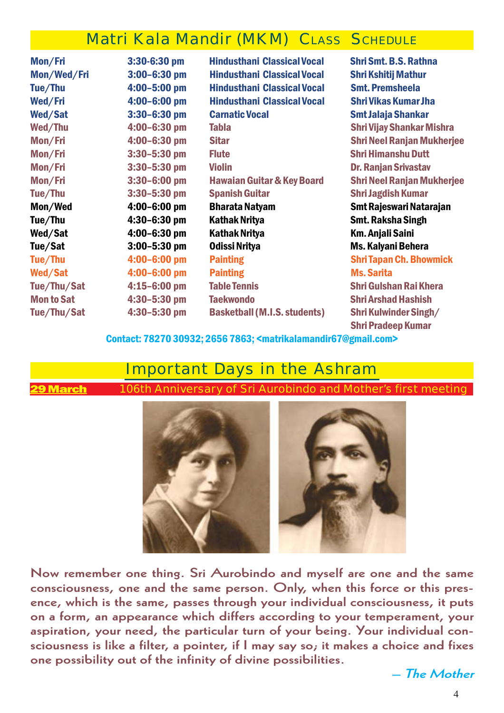## **Matri Kala Mandir (MKM) CLASS SCHEDULE**

| Mon/Fri           | 3:30-6:30 pm     | <b>Hindusthani Classical Vocal</b>    | <b>Shri Smt. B.S. Rathna</b>      |
|-------------------|------------------|---------------------------------------|-----------------------------------|
| Mon/Wed/Fri       | 3:00-6:30 pm     | <b>Hindusthani Classical Vocal</b>    | <b>Shri Kshitij Mathur</b>        |
| Tue/Thu           | $4:00 - 5:00$ pm | <b>Hindusthani Classical Vocal</b>    | <b>Smt. Premsheela</b>            |
| Wed/Fri           | 4:00-6:00 pm     | <b>Hindusthani Classical Vocal</b>    | <b>Shri Vikas Kumar Jha</b>       |
| Wed/Sat           | $3:30 - 6:30$ pm | <b>Carnatic Vocal</b>                 | <b>Smt Jalaja Shankar</b>         |
| Wed/Thu           | 4:00-6:30 pm     | <b>Tabla</b>                          | <b>Shri Vijay Shankar Mishra</b>  |
| Mon/Fri           | 4:00-6:30 pm     | <b>Sitar</b>                          | <b>Shri Neel Ranjan Mukherjee</b> |
| Mon/Fri           | $3:30 - 5:30$ pm | <b>Flute</b>                          | <b>Shri Himanshu Dutt</b>         |
| Mon/Fri           | $3:30 - 5:30$ pm | <b>Violin</b>                         | <b>Dr. Ranjan Srivastav</b>       |
| Mon/Fri           | $3:30 - 6:00$ pm | <b>Hawaian Guitar &amp; Key Board</b> | <b>Shri Neel Ranjan Mukherjee</b> |
| Tue/Thu           | $3:30 - 5:30$ pm | <b>Spanish Guitar</b>                 | <b>Shri Jagdish Kumar</b>         |
| Mon/Wed           | $4:00 - 6:00$ pm | <b>Bharata Natyam</b>                 | Smt Rajeswari Natarajan           |
| Tue/Thu           | $4:30 - 6:30$ pm | <b>Kathak Nritya</b>                  | <b>Smt. Raksha Singh</b>          |
| Wed/Sat           | $4:00 - 6:30$ pm | <b>Kathak Nritya</b>                  | Km. Anjali Saini                  |
| Tue/Sat           | $3:00 - 5:30$ pm | Odissi Nritya                         | <b>Ms. Kalyani Behera</b>         |
| Tue/Thu           | $4:00 - 6:00$ pm | <b>Painting</b>                       | <b>Shri Tapan Ch. Bhowmick</b>    |
| Wed/Sat           | $4:00 - 6:00$ pm | <b>Painting</b>                       | <b>Ms. Sarita</b>                 |
| Tue/Thu/Sat       | $4:15 - 6:00$ pm | <b>Table Tennis</b>                   | <b>Shri Gulshan Rai Khera</b>     |
| <b>Mon to Sat</b> | $4:30 - 5:30$ pm | <b>Taekwondo</b>                      | <b>Shri Arshad Hashish</b>        |
| Tue/Thu/Sat       | $4:30 - 5:30$ pm | <b>Basketball (M.I.S. students)</b>   | <b>Shri Kulwinder Singh/</b>      |
|                   |                  |                                       | <b>Shri Pradeep Kumar</b>         |

Contact: 78270 30932; 2656 7863; <matrikalamandir67@gmail.com>

## Important Days in the Ashram

**29 March** 106th Anniversary of Sri Aurobindo and Mother's first meeting



**Now remember one thing. Sri Aurobindo and myself are one and the same consciousness, one and the same person. Only, when this force or this presence, which is the same, passes through your individual consciousness, it puts on a form, an appearance which differs according to your temperament, your aspiration, your need, the particular turn of your being. Your individual consciousness is like a filter, a pointer, if I may say so; it makes a choice and fixes one possibility out of the infinity of divine possibilities.**

**– The Mother**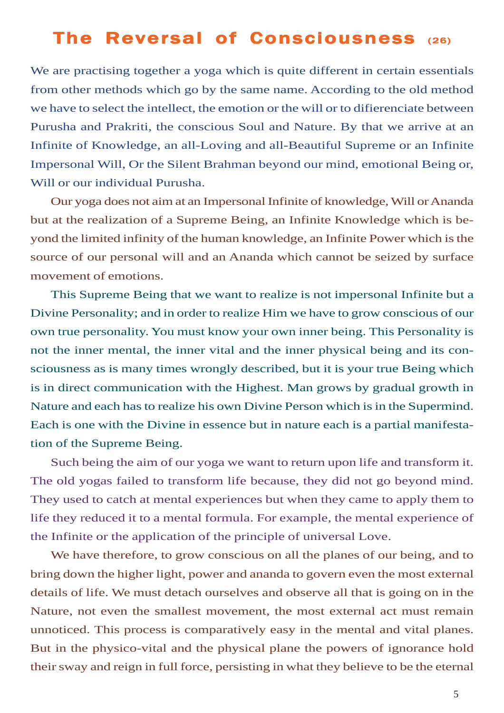## The Reversal of Consciousness (26)

We are practising together a yoga which is quite different in certain essentials from other methods which go by the same name. According to the old method we have to select the intellect, the emotion or the will or to difierenciate between Purusha and Prakriti, the conscious Soul and Nature. By that we arrive at an Infinite of Knowledge, an all-Loving and all-Beautiful Supreme or an Infinite Impersonal Will, Or the Silent Brahman beyond our mind, emotional Being or, Will or our individual Purusha.

Our yoga does not aim at an Impersonal Infinite of knowledge, Will or Ananda but at the realization of a Supreme Being, an Infinite Knowledge which is beyond the limited infinity of the human knowledge, an Infinite Power which is the source of our personal will and an Ananda which cannot be seized by surface movement of emotions.

This Supreme Being that we want to realize is not impersonal Infinite but a Divine Personality; and in order to realize Him we have to grow conscious of our own true personality. You must know your own inner being. This Personality is not the inner mental, the inner vital and the inner physical being and its consciousness as is many times wrongly described, but it is your true Being which is in direct communication with the Highest. Man grows by gradual growth in Nature and each has to realize his own Divine Person which is in the Supermind. Each is one with the Divine in essence but in nature each is a partial manifestation of the Supreme Being.

Such being the aim of our yoga we want to return upon life and transform it. The old yogas failed to transform life because, they did not go beyond mind. They used to catch at mental experiences but when they came to apply them to life they reduced it to a mental formula. For example, the mental experience of the Infinite or the application of the principle of universal Love.

We have therefore, to grow conscious on all the planes of our being, and to bring down the higher light, power and ananda to govern even the most external details of life. We must detach ourselves and observe all that is going on in the Nature, not even the smallest movement, the most external act must remain unnoticed. This process is comparatively easy in the mental and vital planes. But in the physico-vital and the physical plane the powers of ignorance hold their sway and reign in full force, persisting in what they believe to be the eternal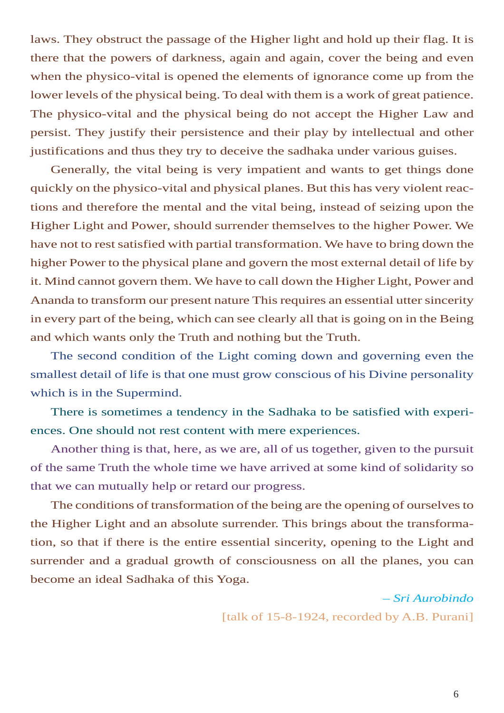laws. They obstruct the passage of the Higher light and hold up their flag. It is there that the powers of darkness, again and again, cover the being and even when the physico-vital is opened the elements of ignorance come up from the lower levels of the physical being. To deal with them is a work of great patience. The physico-vital and the physical being do not accept the Higher Law and persist. They justify their persistence and their play by intellectual and other justifications and thus they try to deceive the sadhaka under various guises.

Generally, the vital being is very impatient and wants to get things done quickly on the physico-vital and physical planes. But this has very violent reactions and therefore the mental and the vital being, instead of seizing upon the Higher Light and Power, should surrender themselves to the higher Power. We have not to rest satisfied with partial transformation. We have to bring down the higher Power to the physical plane and govern the most external detail of life by it. Mind cannot govern them. We have to call down the Higher Light, Power and Ananda to transform our present nature This requires an essential utter sincerity in every part of the being, which can see clearly all that is going on in the Being and which wants only the Truth and nothing but the Truth.

The second condition of the Light coming down and governing even the smallest detail of life is that one must grow conscious of his Divine personality which is in the Supermind.

There is sometimes a tendency in the Sadhaka to be satisfied with experiences. One should not rest content with mere experiences.

Another thing is that, here, as we are, all of us together, given to the pursuit of the same Truth the whole time we have arrived at some kind of solidarity so that we can mutually help or retard our progress.

The conditions of transformation of the being are the opening of ourselves to the Higher Light and an absolute surrender. This brings about the transformation, so that if there is the entire essential sincerity, opening to the Light and surrender and a gradual growth of consciousness on all the planes, you can become an ideal Sadhaka of this Yoga.

> – *Sri Aurobindo* [talk of 15-8-1924, recorded by A.B. Purani]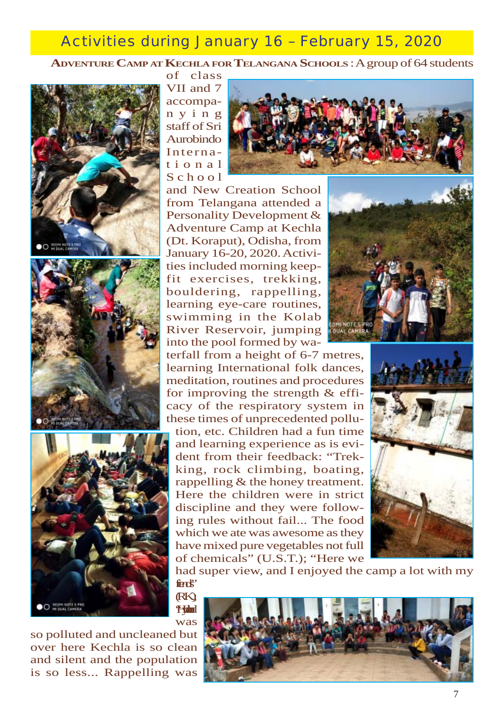## Activities during January 16 – February 15, 2020

**ADVENTURE CAMP AT KECHLA FOR TELANGANA SCHOOLS** : A group of 64 students







VII and 7 accompanying staff of Sri Aurobindo International School

of class



and New Creation School from Telangana attended a Personality Development & Adventure Camp at Kechla (Dt. Koraput), Odisha, from January 16-20, 2020. Activities included morning keepfit exercises, trekking, bouldering, rappelling, learning eye-care routines, swimming in the Kolab River Reservoir, jumping into the pool formed by wa-

terfall from a height of 6-7 metres, learning International folk dances, meditation, routines and procedures for improving the strength & efficacy of the respiratory system in these times of unprecedented pollu-

tion, etc. Children had a fun time and learning experience as is evident from their feedback: "Trekking, rock climbing, boating, rappelling & the honey treatment. Here the children were in strict discipline and they were following rules without fail... The food which we ate was awesome as they have mixed pure vegetables not full of chemicals" (U.S.T.); "Here we





had super view, and I enjoyed the camp a lot with my friends"

 $RK$ 'Hanl

was

so polluted and uncleaned but over here Kechla is so clean and silent and the population is so less... Rappelling was

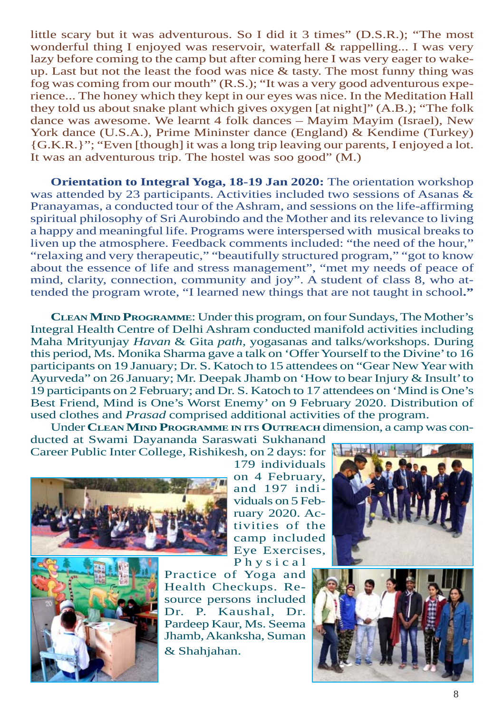little scary but it was adventurous. So I did it 3 times" (D.S.R.); "The most wonderful thing I enjoyed was reservoir, waterfall & rappelling... I was very lazy before coming to the camp but after coming here I was very eager to wakeup. Last but not the least the food was nice & tasty. The most funny thing was fog was coming from our mouth" (R.S.); "It was a very good adventurous experience... The honey which they kept in our eyes was nice. In the Meditation Hall they told us about snake plant which gives oxygen [at night]" (A.B.); "The folk dance was awesome. We learnt 4 folk dances – Mayim Mayim (Israel), New York dance (U.S.A.), Prime Mininster dance (England) & Kendime (Turkey) {G.K.R.}"; "Even [though] it was a long trip leaving our parents, I enjoyed a lot. It was an adventurous trip. The hostel was soo good" (M.)

**Orientation to Integral Yoga, 18-19 Jan 2020:** The orientation workshop was attended by 23 participants. Activities included two sessions of Asanas & Pranayamas, a conducted tour of the Ashram, and sessions on the life-affirming spiritual philosophy of Sri Aurobindo and the Mother and its relevance to living a happy and meaningful life. Programs were interspersed with musical breaks to liven up the atmosphere. Feedback comments included: "the need of the hour," "relaxing and very therapeutic," "beautifully structured program," "got to know about the essence of life and stress management", "met my needs of peace of mind, clarity, connection, community and joy". A student of class 8, who attended the program wrote, "I learned new things that are not taught in school**."**

**CLEAN MIND PROGRAMME**: Under this program, on four Sundays, The Mother's Integral Health Centre of Delhi Ashram conducted manifold activities including Maha Mrityunjay *Havan* & Gita *path,* yogasanas and talks/workshops. During this period, Ms. Monika Sharma gave a talk on 'Offer Yourself to the Divine' to 16 participants on 19 January; Dr. S. Katoch to 15 attendees on "Gear New Year with Ayurveda" on 26 January; Mr. Deepak Jhamb on 'How to bear Injury & Insult' to 19 participants on 2 February; and Dr. S. Katoch to 17 attendees on 'Mind is One's Best Friend, Mind is One's Worst Enemy' on 9 February 2020. Distribution of used clothes and *Prasad* comprised additional activities of the program.

Under **CLEAN MIND PROGRAMME IN ITS OUTREACH** dimension, a camp was conducted at Swami Dayananda Saraswati Sukhanand

> on 4 February, and 197 individuals on 5 February 2020. Ac-

Eye Exercises, Physical

Career Public Inter College, Rishikesh, on 2 days: for 179 individuals





Practice of Yoga and Health Checkups. Resource persons included Dr. P. Kaushal, Dr. Pardeep Kaur, Ms. Seema Jhamb, Akanksha, Suman & Shahjahan.



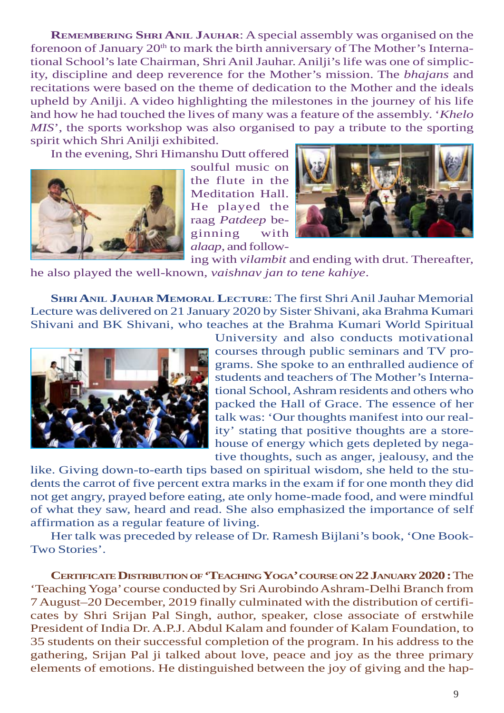**REMEMBERING SHRI ANIL JAUHAR**: A special assembly was organised on the forenoon of January 20<sup>th</sup> to mark the birth anniversary of The Mother's International School's late Chairman, Shri Anil Jauhar. Anilji's life was one of simplicity, discipline and deep reverence for the Mother's mission. The *bhajans* and recitations were based on the theme of dedication to the Mother and the ideals upheld by Anilji. A video highlighting the milestones in the journey of his life and how he had touched the lives of many was a feature of the assembly. '*Khelo* :*MIS*', the sports workshop was also organised to pay a tribute to the sporting spirit which Shri Anilji exhibited.

In the evening, Shri Himanshu Dutt offered



soulful music on the flute in the Meditation Hall. He played the raag *Patdeep* beginning with *alaap*, and follow-



ing with *vilambit* and ending with drut. Thereafter, he also played the well-known, *vaishnav jan to tene kahiye*.

**SHRI ANIL JAUHAR MEMORAL LECTURE**: The first Shri Anil Jauhar Memorial Lecture was delivered on 21 January 2020 by Sister Shivani, aka Brahma Kumari Shivani and BK Shivani, who teaches at the Brahma Kumari World Spiritual



University and also conducts motivational courses through public seminars and TV programs. She spoke to an enthralled audience of students and teachers of The Mother's International School, Ashram residents and others who packed the Hall of Grace. The essence of her talk was: 'Our thoughts manifest into our reality' stating that positive thoughts are a storehouse of energy which gets depleted by negative thoughts, such as anger, jealousy, and the

like. Giving down-to-earth tips based on spiritual wisdom, she held to the students the carrot of five percent extra marks in the exam if for one month they did not get angry, prayed before eating, ate only home-made food, and were mindful of what they saw, heard and read. She also emphasized the importance of self affirmation as a regular feature of living.

Her talk was preceded by release of Dr. Ramesh Bijlani's book, 'One Book-Two Stories'.

**CERTIFICATE DISTRIBUTIONOF 'TEACHING YOGA' COURSEON 22 JANUARY 2020 :** The 'Teaching Yoga' course conducted by Sri Aurobindo Ashram-Delhi Branch from 7 August–20 December, 2019 finally culminated with the distribution of certificates by Shri Srijan Pal Singh, author, speaker, close associate of erstwhile President of India Dr. A.P.J. Abdul Kalam and founder of Kalam Foundation, to 35 students on their successful completion of the program. In his address to the gathering, Srijan Pal ji talked about love, peace and joy as the three primary elements of emotions. He distinguished between the joy of giving and the hap-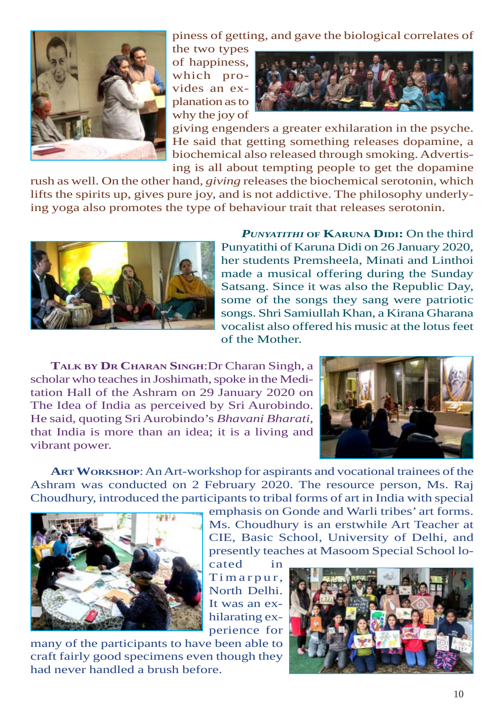

piness of getting, and gave the biological correlates of

the two types of happiness, which provides an explanation as to why the joy of



giving engenders a greater exhilaration in the psyche. He said that getting something releases dopamine, a biochemical also released through smoking. Advertising is all about tempting people to get the dopamine

rush as well. On the other hand, *giving* releases the biochemical serotonin, which lifts the spirits up, gives pure joy, and is not addictive. The philosophy underlying yoga also promotes the type of behaviour trait that releases serotonin.



*PUNYATITHI* OF **KARUNA** DIDI: On the third Punyatithi of Karuna Didi on 26 January 2020, her students Premsheela, Minati and Linthoi made a musical offering during the Sunday Satsang. Since it was also the Republic Day, some of the songs they sang were patriotic songs. Shri Samiullah Khan, a Kirana Gharana vocalist also offered his music at the lotus feet of the Mother.

**TALK BY DR CHARAN SINGH**:Dr Charan Singh, a scholar who teaches in Joshimath, spoke in the Meditation Hall of the Ashram on 29 January 2020 on The Idea of India as perceived by Sri Aurobindo. He said, quoting Sri Aurobindo's *Bhavani Bharati*, that India is more than an idea; it is a living and vibrant power.



**ART WORKSHOP**: An Art-workshop for aspirants and vocational trainees of the Ashram was conducted on 2 February 2020. The resource person, Ms. Raj Choudhury, introduced the participants to tribal forms of art in India with special



emphasis on Gonde and Warli tribes' art forms. Ms. Choudhury is an erstwhile Art Teacher at CIE, Basic School, University of Delhi, and presently teaches at Masoom Special School lo-

cated in Timarpur, North Delhi. It was an exhilarating experience for

many of the participants to have been able to craft fairly good specimens even though they had never handled a brush before.

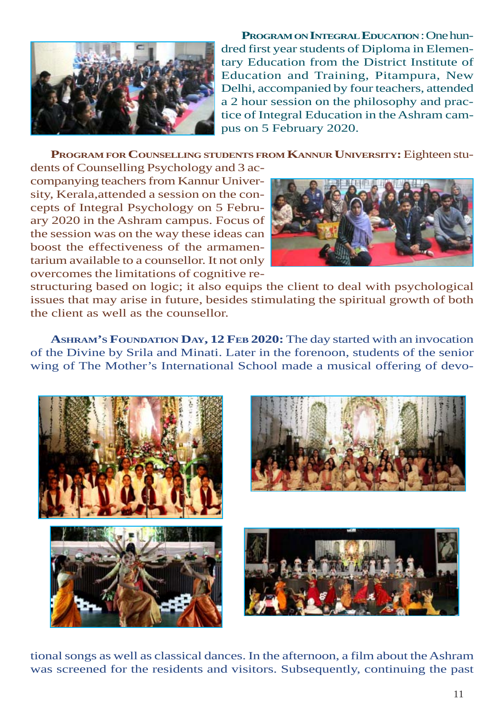

**PROGRAMON INTEGRAL EDUCATION** : One hundred first year students of Diploma in Elementary Education from the District Institute of Education and Training, Pitampura, New Delhi, accompanied by four teachers, attended a 2 hour session on the philosophy and practice of Integral Education in the Ashram campus on 5 February 2020.

**PROGRAM FOR COUNSELLING STUDENTS FROM KANNUR UNIVERSITY:** Eighteen students of Counselling Psychology and 3 ac-

companying teachers from Kannur University, Kerala,attended a session on the concepts of Integral Psychology on 5 February 2020 in the Ashram campus. Focus of the session was on the way these ideas can boost the effectiveness of the armamentarium available to a counsellor. It not only overcomes the limitations of cognitive re-



structuring based on logic; it also equips the client to deal with psychological issues that may arise in future, besides stimulating the spiritual growth of both the client as well as the counsellor.

**ASHRAM'S FOUNDATION DAY, 12 FEB 2020:** The day started with an invocation of the Divine by Srila and Minati. Later in the forenoon, students of the senior wing of The Mother's International School made a musical offering of devo-



tional songs as well as classical dances. In the afternoon, a film about the Ashram was screened for the residents and visitors. Subsequently, continuing the past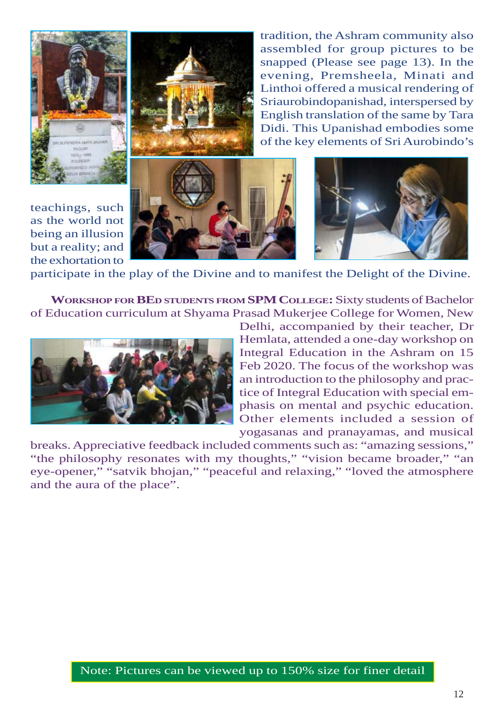



tradition, the Ashram community also assembled for group pictures to be snapped (Please see page 13). In the evening, Premsheela, Minati and Linthoi offered a musical rendering of Sriaurobindopanishad, interspersed by English translation of the same by Tara Didi. This Upanishad embodies some of the key elements of Sri Aurobindo's

teachings, such as the world not being an illusion but a reality; and the exhortation to





participate in the play of the Divine and to manifest the Delight of the Divine.

**WORKSHOP FOR BED STUDENTS FROM SPM COLLEGE:** Sixty students of Bachelor of Education curriculum at Shyama Prasad Mukerjee College for Women, New



Delhi, accompanied by their teacher, Dr Hemlata, attended a one-day workshop on Integral Education in the Ashram on 15 Feb 2020. The focus of the workshop was an introduction to the philosophy and practice of Integral Education with special emphasis on mental and psychic education. Other elements included a session of yogasanas and pranayamas, and musical

breaks. Appreciative feedback included comments such as: "amazing sessions," "the philosophy resonates with my thoughts," "vision became broader," "an eye-opener," "satvik bhojan," "peaceful and relaxing," "loved the atmosphere and the aura of the place".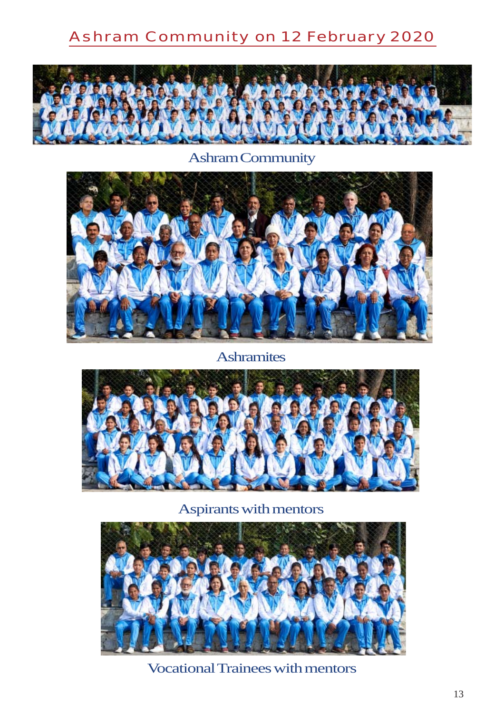## Ashram Community on 12 February 2020



Ashram Community



**Ashramites** 



Aspirants with mentors



Vocational Trainees with mentors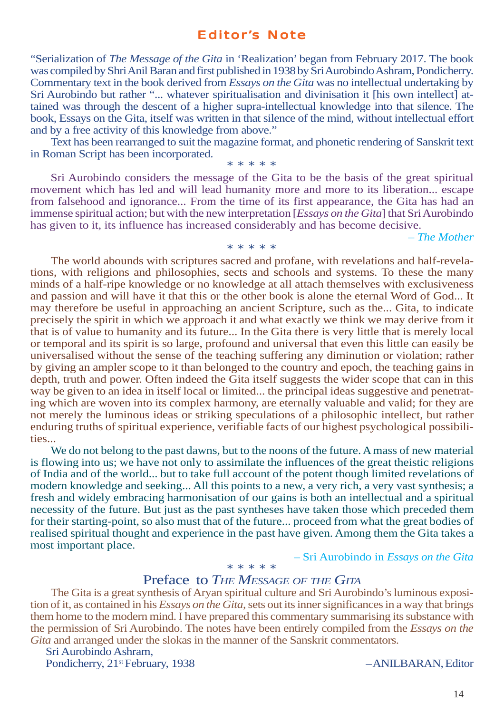#### **Editor's Note**

"Serialization of *The Message of the Gita* in 'Realization' began from February 2017. The book was compiled by Shri Anil Baran and first published in 1938 by Sri Aurobindo Ashram, Pondicherry. Commentary text in the book derived from *Essays on the Gita* was no intellectual undertaking by Sri Aurobindo but rather "... whatever spiritualisation and divinisation it [his own intellect] attained was through the descent of a higher supra-intellectual knowledge into that silence. The book, Essays on the Gita, itself was written in that silence of the mind, without intellectual effort and by a free activity of this knowledge from above."

Text has been rearranged to suit the magazine format, and phonetic rendering of Sanskrit text in Roman Script has been incorporated.

\* \* \* \* \*

Sri Aurobindo considers the message of the Gita to be the basis of the great spiritual movement which has led and will lead humanity more and more to its liberation... escape from falsehood and ignorance... From the time of its first appearance, the Gita has had an immense spiritual action; but with the new interpretation [*Essays on the Gita*] that Sri Aurobindo has given to it, its influence has increased considerably and has become decisive.

\* \* \* \* \*

– *The Mother*

The world abounds with scriptures sacred and profane, with revelations and half-revelations, with religions and philosophies, sects and schools and systems. To these the many minds of a half-ripe knowledge or no knowledge at all attach themselves with exclusiveness and passion and will have it that this or the other book is alone the eternal Word of God... It may therefore be useful in approaching an ancient Scripture, such as the... Gita, to indicate precisely the spirit in which we approach it and what exactly we think we may derive from it that is of value to humanity and its future... In the Gita there is very little that is merely local or temporal and its spirit is so large, profound and universal that even this little can easily be universalised without the sense of the teaching suffering any diminution or violation; rather by giving an ampler scope to it than belonged to the country and epoch, the teaching gains in depth, truth and power. Often indeed the Gita itself suggests the wider scope that can in this way be given to an idea in itself local or limited... the principal ideas suggestive and penetrating which are woven into its complex harmony, are eternally valuable and valid; for they are not merely the luminous ideas or striking speculations of a philosophic intellect, but rather enduring truths of spiritual experience, verifiable facts of our highest psychological possibilities...

We do not belong to the past dawns, but to the noons of the future. A mass of new material is flowing into us; we have not only to assimilate the influences of the great theistic religions of India and of the world... but to take full account of the potent though limited revelations of modern knowledge and seeking... All this points to a new, a very rich, a very vast synthesis; a fresh and widely embracing harmonisation of our gains is both an intellectual and a spiritual necessity of the future. But just as the past syntheses have taken those which preceded them for their starting-point, so also must that of the future... proceed from what the great bodies of realised spiritual thought and experience in the past have given. Among them the Gita takes a most important place.

– Sri Aurobindo in *Essays on the Gita*

#### Preface to *THE MESSAGE OF THE GITA*

\* \* \* \* \*

The Gita is a great synthesis of Aryan spiritual culture and Sri Aurobindo's luminous exposition of it, as contained in his *Essays on the Gita*, sets out its inner significances in a way that brings them home to the modern mind. I have prepared this commentary summarising its substance with the permission of Sri Aurobindo. The notes have been entirely compiled from the *Essays on the Gita* and arranged under the slokas in the manner of the Sanskrit commentators.

 Sri Aurobindo Ashram, Pondicherry,  $21^{st}$  February, 1938 – ANILBARAN, Editor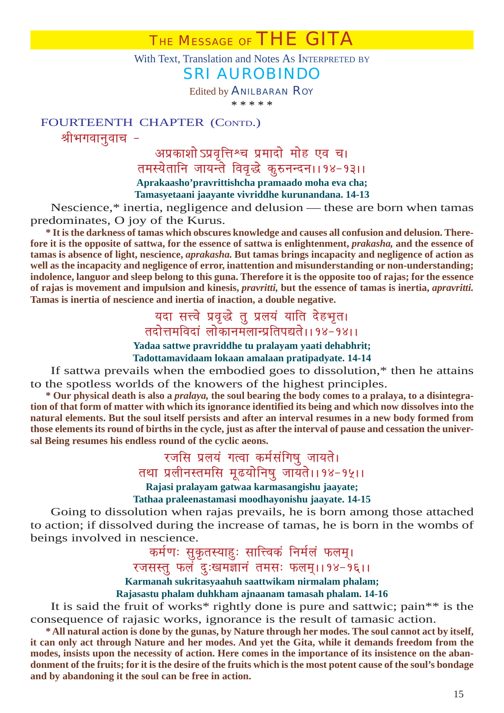## THE MESSAGE OF THE G

With Text, Translation and Notes AS INTERPRETED BY

SRI AUROBINDO

Edited by ANILBARAN ROY

\* \* \* \* \*

FOURTEENTH CHAPTER (CONTD.) श्रीभगवानुवाच -

अप्रकाशो ऽप्रवृत्तिश्च प्रमादो मोह एव च। तमस्येतानि जायन्ते विवृद्धे कूरुनन्दना। १४-१३।। **Aprakaasho'pravrittishcha pramaado moha eva cha; Tamasyetaani jaayante vivriddhe kurunandana. 14-13**

Nescience,\* inertia, negligence and delusion — these are born when tamas predominates, O joy of the Kurus.

**\* It is the darkness of tamas which obscures knowledge and causes all confusion and delusion. Therefore it is the opposite of sattwa, for the essence of sattwa is enlightenment,** *prakasha,* **and the essence of tamas is absence of light, nescience,** *aprakasha.* **But tamas brings incapacity and negligence of action as well as the incapacity and negligence of error, inattention and misunderstanding or non-understanding; indolence, languor and sleep belong to this guna. Therefore it is the opposite too of rajas; for the essence of rajas is movement and impulsion and kinesis,** *pravritti,* **but the essence of tamas is inertia,** *apravritti.* **Tamas is inertia of nescience and inertia of inaction, a double negative.**

> यदा सत्त्वे प्रवृद्धे तु प्रलयं याति देहभूत। तदोत्तमविदां लोकानमलान्प्रतिपद्यते।। **१४-** १४।।

#### **Yadaa sattwe pravriddhe tu pralayam yaati dehabhrit; Tadottamavidaam lokaan amalaan pratipadyate. 14-14**

If sattwa prevails when the embodied goes to dissolution,\* then he attains to the spotless worlds of the knowers of the highest principles.

**\* Our physical death is also a** *pralaya,* **the soul bearing the body comes to a pralaya, to a disintegration of that form of matter with which its ignorance identified its being and which now dissolves into the natural elements. But the soul itself persists and after an interval resumes in a new body formed from those elements its round of births in the cycle, just as after the interval of pause and cessation the universal Being resumes his endless round of the cyclic aeons.**

> रजसि प्रलयं गत्वा कर्मसंगिषु जायते। तथा प्रलीनस्तमसि मूढयोनिषु जायते।। १४-१५।। **Rajasi pralayam gatwaa karmasangishu jaayate;**

**Tathaa praleenastamasi moodhayonishu jaayate. 14-15**

Going to dissolution when rajas prevails, he is born among those attached to action; if dissolved during the increase of tamas, he is born in the wombs of beings involved in nescience.

> कर्मणः सुकृतस्याहुः सात्त्विकं निर्मलं फलम्। रजसस्तु फलं दुःखमज्ञानं तमसः फलम्।। **१४-१६।**। **Karmanah sukritasyaahuh saattwikam nirmalam phalam;**

#### **Rajasastu phalam duhkham ajnaanam tamasah phalam. 14-16**

It is said the fruit of works\* rightly done is pure and sattwic; pain\*\* is the consequence of rajasic works, ignorance is the result of tamasic action.

**\* All natural action is done by the gunas, by Nature through her modes. The soul cannot act by itself, it can only act through Nature and her modes. And yet the Gita, while it demands freedom from the modes, insists upon the necessity of action. Here comes in the importance of its insistence on the abandonment of the fruits; for it is the desire of the fruits which is the most potent cause of the soul's bondage and by abandoning it the soul can be free in action.**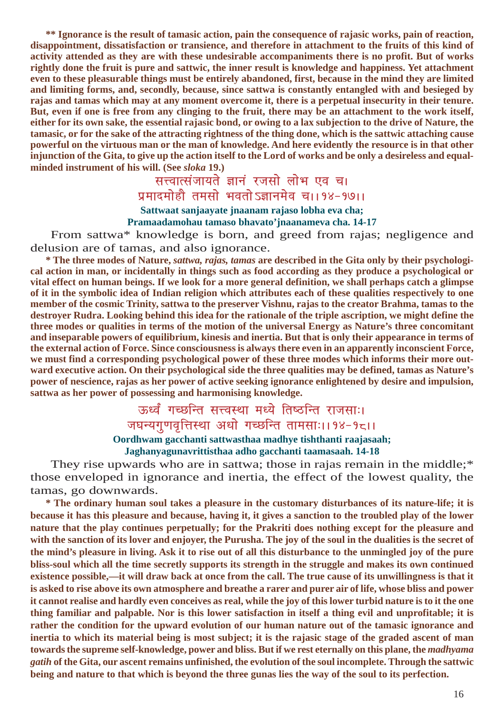**\*\* Ignorance is the result of tamasic action, pain the consequence of rajasic works, pain of reaction, disappointment, dissatisfaction or transience, and therefore in attachment to the fruits of this kind of activity attended as they are with these undesirable accompaniments there is no profit. But of works rightly done the fruit is pure and sattwic, the inner result is knowledge and happiness. Yet attachment even to these pleasurable things must be entirely abandoned, first, because in the mind they are limited and limiting forms, and, secondly, because, since sattwa is constantly entangled with and besieged by rajas and tamas which may at any moment overcome it, there is a perpetual insecurity in their tenure. But, even if one is free from any clinging to the fruit, there may be an attachment to the work itself, either for its own sake, the essential rajasic bond, or owing to a lax subjection to the drive of Nature, the tamasic, or for the sake of the attracting rightness of the thing done, which is the sattwic attaching cause powerful on the virtuous man or the man of knowledge. And here evidently the resource is in that other injunction of the Gita, to give up the action itself to the Lord of works and be only a desireless and equalminded instrument of his will. (See** *sloka* **19.)**

#### सत्त्वात्संजायते ज्ञानं रजसो लोभ एव च। <u>प्रमादमोहौ तमसो भवतो ऽज्ञानमेव चानि १४-१७म</u> **Sattwaat sanjaayate jnaanam rajaso lobha eva cha; Pramaadamohau tamaso bhavato'jnaanameva cha. 14-17**

From sattwa\* knowledge is born, and greed from rajas; negligence and delusion are of tamas, and also ignorance.

**\* The three modes of Nature,** *sattwa, rajas, tamas* **are described in the Gita only by their psychological action in man, or incidentally in things such as food according as they produce a psychological or vital effect on human beings. If we look for a more general definition, we shall perhaps catch a glimpse of it in the symbolic idea of Indian religion which attributes each of these qualities respectively to one member of the cosmic Trinity, sattwa to the preserver Vishnu, rajas to the creator Brahma, tamas to the destroyer Rudra. Looking behind this idea for the rationale of the triple ascription, we might define the three modes or qualities in terms of the motion of the universal Energy as Nature's three concomitant and inseparable powers of equilibrium, kinesis and inertia. But that is only their appearance in terms of the external action of Force. Since consciousness is always there even in an apparently inconscient Force, we must find a corresponding psychological power of these three modes which informs their more outward executive action. On their psychological side the three qualities may be defined, tamas as Nature's power of nescience, rajas as her power of active seeking ignorance enlightened by desire and impulsion, sattwa as her power of possessing and harmonising knowledge.**

#### ऊर्ध्वं गच्छन्ति सत्त्वस्था मध्ये तिष्ठन्ति राजसाः। जघन्यगुणवृत्तिस्था अधो गच्छन्ति तामसाः।। १४-१८।। **Oordhwam gacchanti sattwasthaa madhye tishthanti raajasaah; Jaghanyagunavrittisthaa adho gacchanti taamasaah. 14-18**

They rise upwards who are in sattwa; those in rajas remain in the middle;\* those enveloped in ignorance and inertia, the effect of the lowest quality, the tamas, go downwards.

**\* The ordinary human soul takes a pleasure in the customary disturbances of its nature-life; it is because it has this pleasure and because, having it, it gives a sanction to the troubled play of the lower nature that the play continues perpetually; for the Prakriti does nothing except for the pleasure and with the sanction of its lover and enjoyer, the Purusha. The joy of the soul in the dualities is the secret of the mind's pleasure in living. Ask it to rise out of all this disturbance to the unmingled joy of the pure bliss-soul which all the time secretly supports its strength in the struggle and makes its own continued existence possible,—it will draw back at once from the call. The true cause of its unwillingness is that it is asked to rise above its own atmosphere and breathe a rarer and purer air of life, whose bliss and power it cannot realise and hardly even conceives as real, while the joy of this lower turbid nature is to it the one thing familiar and palpable. Nor is this lower satisfaction in itself a thing evil and unprofitable; it is rather the condition for the upward evolution of our human nature out of the tamasic ignorance and inertia to which its material being is most subject; it is the rajasic stage of the graded ascent of man** towards the supreme self-knowledge, power and bliss. But if we rest eternally on this plane, the *madhyama gatih* **of the Gita, our ascent remains unfinished, the evolution of the soul incomplete. Through the sattwic being and nature to that which is beyond the three gunas lies the way of the soul to its perfection.**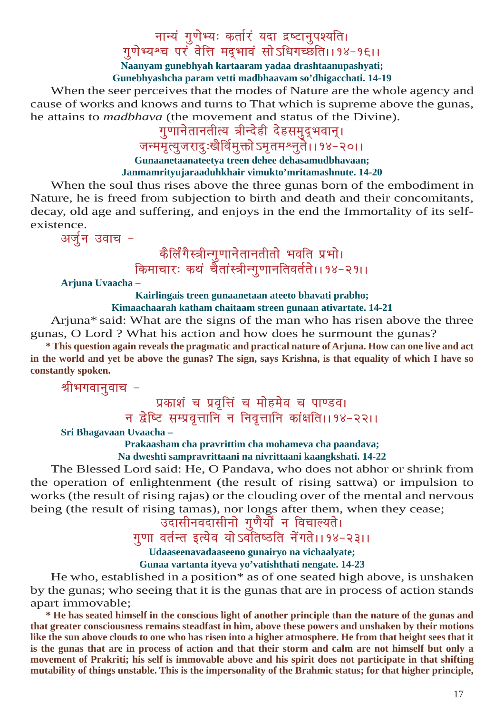## नान्यं गुणेभ्यः कर्तारं यदा द्रष्टान<mark>ु</mark>पश्यति। गणेभ्यश्च परं वेत्ति मद्भावं सोऽधिगच्छति।। १४-१६।।

**Naanyam gunebhyah kartaaram yadaa drashtaanupashyati; Gunebhyashcha param vetti madbhaavam so'dhigacchati. 14-19**

When the seer perceives that the modes of Nature are the whole agency and cause of works and knows and turns to That which is supreme above the gunas, he attains to *madbhava* (the movement and status of the Divine).

## गुणानेतानतीत्य त्रीन्देही देहसमुद्**भवान्**।

जन्ममूल्युजरादुःखैर्विमुक्तो ऽमृतमश्नुर्ते।। १४-२०।।

**Gunaanetaanateetya treen dehee dehasamudbhavaan;**

#### **Janmamrityujaraaduhkhair vimukto'mritamashnute. 14-20**

When the soul thus rises above the three gunas born of the embodiment in Nature, he is freed from subjection to birth and death and their concomitants, decay, old age and suffering, and enjoys in the end the Immortality of its selfexistence.

<u>अर्जुन उवाच -</u>

# कैर्लिंगैस्त्रीन्गुणानेतानतीतो भवति प्रभो।<br>किमाचारः कथं चैतांस्त्रीन्गुणानतिवर्तते।।१४-२१।।

#### **Arjuna Uvaacha –**

#### **Kairlingais treen gunaanetaan ateeto bhavati prabho; Kimaachaarah katham chaitaam streen gunaan ativartate. 14-21**

Arjuna\* said: What are the signs of the man who has risen above the three gunas, O Lord ? What his action and how does he surmount the gunas?

**\* This question again reveals the pragmatic and practical nature of Arjuna. How can one live and act in the world and yet be above the gunas? The sign, says Krishna, is that equality of which I have so constantly spoken.**

श्रीभगवान्**वाच** -

## प्रकाशं च प्रवृत्तिं च मोहमेव च पाण्डव। <u>न द्वेष्टि सम्प्रवृत्तानि</u> न निवृत्तानि कांक्षति।। १४-२२।।

**Sri Bhagavaan Uvaacha –**

#### **Prakaasham cha pravrittim cha mohameva cha paandava; Na dweshti sampravrittaani na nivrittaani kaangkshati. 14-22**

The Blessed Lord said: He, O Pandava, who does not abhor or shrink from the operation of enlightenment (the result of rising sattwa) or impulsion to works (the result of rising rajas) or the clouding over of the mental and nervous being (the result of rising tamas), nor longs after them, when they cease;

#### उदासीनवदासीनो गुणैर्यो न विचाल्यते। गुणा वर्तन्त इत्येव योऽवॅतिष्ठति नेंगते।। १४-२३।।

**Udaaseenavadaaseeno gunairyo na vichaalyate;**

**Gunaa vartanta ityeva yo'vatishthati nengate. 14-23**

He who, established in a position\* as of one seated high above, is unshaken by the gunas; who seeing that it is the gunas that are in process of action stands apart immovable;

**\* He has seated himself in the conscious light of another principle than the nature of the gunas and that greater consciousness remains steadfast in him, above these powers and unshaken by their motions like the sun above clouds to one who has risen into a higher atmosphere. He from that height sees that it is the gunas that are in process of action and that their storm and calm are not himself but only a movement of Prakriti; his self is immovable above and his spirit does not participate in that shifting mutability of things unstable. This is the impersonality of the Brahmic status; for that higher principle,**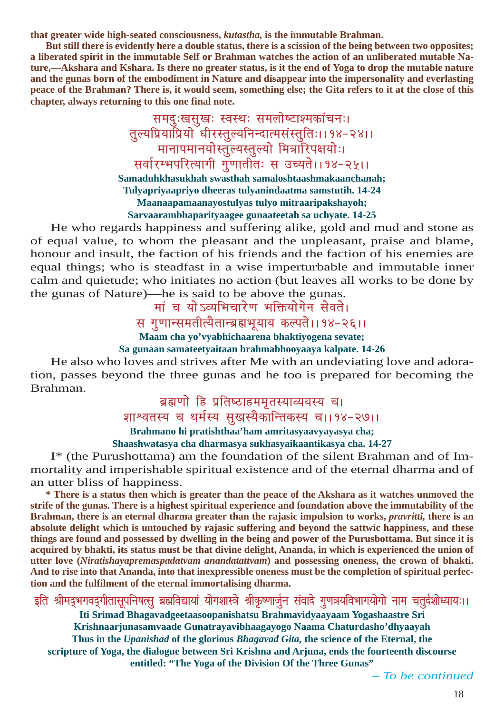**that greater wide high-seated consciousness,** *kutastha,* **is the immutable Brahman.**

**But still there is evidently here a double status, there is a scission of the being between two opposites; a liberated spirit in the immutable Self or Brahman watches the action of an unliberated mutable Nature,—Akshara and Kshara. Is there no greater status, is it the end of Yoga to drop the mutable nature and the gunas born of the embodiment in Nature and disappear into the impersonality and everlasting peace of the Brahman? There is, it would seem, something else; the Gita refers to it at the close of this chapter, always returning to this one final note.**

> समदुःखसुखः स्वस्थः समलोष्टाश्मकांचनः। तुल्यप्रियाप्रियो<sup>ँ</sup> धीरस्तुल्यनिन्दात्मसंस्तुतिः।। १४-२४।। <u>मानापमानयोस्तूल्यस्तुल्यो मित्रा</u>रिपक्षयोः। **सर्वारम्भपरित्यागी गूँणातीँतः स उच्यते।।१४-२५।। Samaduhkhasukhah swasthah samaloshtaashmakaanchanah; Tulyapriyaapriyo dheeras tulyanindaatma samstutih. 14-24 Maanaapamaanayostulyas tulyo mitraaripakshayoh; Sarvaarambhaparityaagee gunaateetah sa uchyate. 14-25**

He who regards happiness and suffering alike, gold and mud and stone as of equal value, to whom the pleasant and the unpleasant, praise and blame, honour and insult, the faction of his friends and the faction of his enemies are equal things; who is steadfast in a wise imperturbable and immutable inner calm and quietude; who initiates no action (but leaves all works to be done by the gunas of Nature)—he is said to be above the gunas.

<u>मां च यो ऽव्यभिचारेण भक्तियोगेन सेवते।</u>

स गुणान्समतीत्यैतान्ब्रह्मभूयाय कल्पते।। १४-२६।।

**Maam cha yo'vyabhichaarena bhaktiyogena sevate;**

#### **Sa gunaan samateetyaitaan brahmabhooyaaya kalpate. 14-26**

He also who loves and strives after Me with an undeviating love and adoration, passes beyond the three gunas and he too is prepared for becoming the Brahman.

> ब्र<mark>ह्मणो हि प्रतिष्ठाहममृतस्याव्ययस्य च</mark>। शाश्वतस्य च धर्मस्य सुखस्यैकान्तिकस्य च।।१४-२७।। **Brahmano hi pratishthaa'ham amritasyaavyayasya cha;**

**Shaashwatasya cha dharmasya sukhasyaikaantikasya cha. 14-27**

I\* (the Purushottama) am the foundation of the silent Brahman and of Immortality and imperishable spiritual existence and of the eternal dharma and of an utter bliss of happiness.

**\* There is a status then which is greater than the peace of the Akshara as it watches unmoved the strife of the gunas. There is a highest spiritual experience and foundation above the immutability of the Brahman, there is an eternal dharma greater than the rajasic impulsion to works,** *pravritti,* **there is an absolute delight which is untouched by rajasic suffering and beyond the sattwic happiness, and these things are found and possessed by dwelling in the being and power of the Purusbottama. But since it is acquired by bhakti, its status must be that divine delight, Ananda, in which is experienced the union of utter love (***Niratishayapremaspadatvam anandatattvam***) and possessing oneness, the crown of bhakti. And to rise into that Ananda, into that inexpressible oneness must be the completion of spiritual perfection and the fulfilment of the eternal immortalising dharma.**

## इति श्रीमदुभगवदुगीतासूपनिषत्सु ब्रह्मविद्यायां योगशास्त्रे श्रीकृष्णार्जुन संवादे गुणत्रयविभागयोगो नाम चतुर्दशोध्यायः।।

**Iti Srimad Bhagavadgeetaasoopanishatsu Brahmavidyaayaam Yogashaastre Sri Krishnaarjunasamvaade Gunatrayavibhaagayogo Naama Chaturdasho'dhyaayah Thus in the** *Upanishad* **of the glorious** *Bhagavad Gita,* **the science of the Eternal, the scripture of Yoga, the dialogue between Sri Krishna and Arjuna, ends the fourteenth discourse entitled: "The Yoga of the Division Of the Three Gunas"**

– *To be continued*